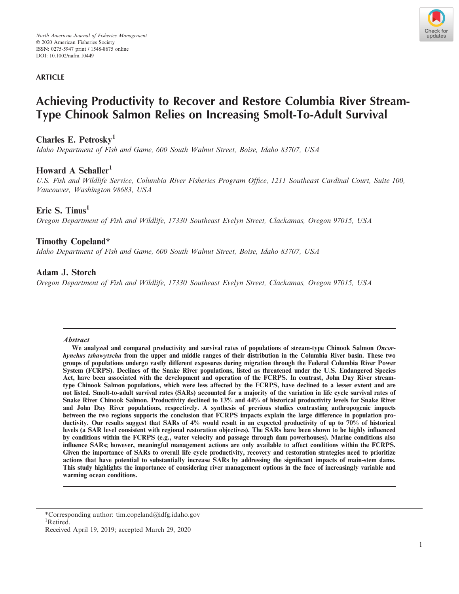### **ARTICLE**



# **Achieving Productivity to Recover and Restore Columbia River Stream-Type Chinook Salmon Relies on Increasing Smolt-To-Adult Survival**

# **Charles E. Petrosky<sup>1</sup>**

*Idaho Department of Fish and Game, 600 South Walnut Street, Boise, Idaho 83707, USA*

## **Howard A Schaller<sup>1</sup>**

*U.S. Fish and Wildlife Service, Columbia River Fisheries Program Office, 1211 Southeast Cardinal Court, Suite 100, Vancouver, Washington 98683, USA*

### **Eric S. Tinus<sup>1</sup>**

*Oregon Department of Fish and Wildlife, 17330 Southeast Evelyn Street, Clackamas, Oregon 97015, USA*

### **Timothy Copeland\***

*Idaho Department of Fish and Game, 600 South Walnut Street, Boise, Idaho 83707, USA*

### **Adam J. Storch**

*Oregon Department of Fish and Wildlife, 17330 Southeast Evelyn Street, Clackamas, Oregon 97015, USA*

### **Abstract**

**We analyzed and compared productivity and survival rates of populations of stream-type Chinook Salmon Oncorhynchus tshawytscha from the upper and middle ranges of their distribution in the Columbia River basin. These two groups of populations undergo vastly different exposures during migration through the Federal Columbia River Power System (FCRPS). Declines of the Snake River populations, listed as threatened under the U.S. Endangered Species Act, have been associated with the development and operation of the FCRPS. In contrast, John Day River streamtype Chinook Salmon populations, which were less affected by the FCRPS, have declined to a lesser extent and are not listed. Smolt-to-adult survival rates (SARs) accounted for a majority of the variation in life cycle survival rates of Snake River Chinook Salmon. Productivity declined to 13% and 44% of historical productivity levels for Snake River and John Day River populations, respectively. A synthesis of previous studies contrasting anthropogenic impacts between the two regions supports the conclusion that FCRPS impacts explain the large difference in population productivity. Our results suggest that SARs of 4% would result in an expected productivity of up to 70% of historical levels (a SAR level consistent with regional restoration objectives). The SARs have been shown to be highly influenced by conditions within the FCRPS (e.g., water velocity and passage through dam powerhouses). Marine conditions also influence SARs; however, meaningful management actions are only available to affect conditions within the FCRPS. Given the importance of SARs to overall life cycle productivity, recovery and restoration strategies need to prioritize actions that have potential to substantially increase SARs by addressing the significant impacts of main-stem dams. This study highlights the importance of considering river management options in the face of increasingly variable and warming ocean conditions.**

<sup>\*</sup>Corresponding author: [tim.copeland@idfg.idaho.gov](mailto:) 1 Retired.

Received April 19, 2019; accepted March 29, 2020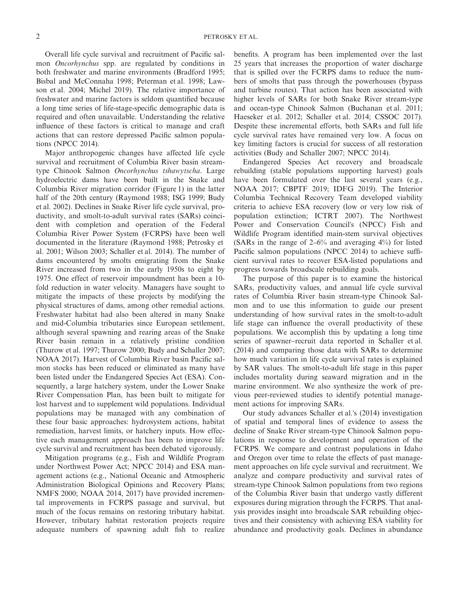Overall life cycle survival and recruitment of Pacific salmon *Oncorhynchus* spp. are regulated by conditions in both freshwater and marine environments (Bradford 1995; Bisbal and McConnaha 1998; Peterman et al. 1998; Lawson et al. 2004; Michel 2019). The relative importance of freshwater and marine factors is seldom quantified because a long time series of life-stage-specific demographic data is required and often unavailable. Understanding the relative influence of these factors is critical to manage and craft actions that can restore depressed Pacific salmon populations (NPCC 2014).

Major anthropogenic changes have affected life cycle survival and recruitment of Columbia River basin streamtype Chinook Salmon *Oncorhynchus tshawytscha*. Large hydroelectric dams have been built in the Snake and Columbia River migration corridor (Figure 1) in the latter half of the 20th century (Raymond 1988; ISG 1999; Budy et al. 2002). Declines in Snake River life cycle survival, productivity, and smolt-to-adult survival rates (SARs) coincident with completion and operation of the Federal Columbia River Power System (FCRPS) have been well documented in the literature (Raymond 1988; Petrosky et al. 2001; Wilson 2003; Schaller et al. 2014). The number of dams encountered by smolts emigrating from the Snake River increased from two in the early 1950s to eight by 1975. One effect of reservoir impoundment has been a 10 fold reduction in water velocity. Managers have sought to mitigate the impacts of these projects by modifying the physical structures of dams, among other remedial actions. Freshwater habitat had also been altered in many Snake and mid-Columbia tributaries since European settlement, although several spawning and rearing areas of the Snake River basin remain in a relatively pristine condition (Thurow et al. 1997; Thurow 2000; Budy and Schaller 2007; NOAA 2017). Harvest of Columbia River basin Pacific salmon stocks has been reduced or eliminated as many have been listed under the Endangered Species Act (ESA). Consequently, a large hatchery system, under the Lower Snake River Compensation Plan, has been built to mitigate for lost harvest and to supplement wild populations. Individual populations may be managed with any combination of these four basic approaches: hydrosystem actions, habitat remediation, harvest limits, or hatchery inputs. How effective each management approach has been to improve life cycle survival and recruitment has been debated vigorously.

Mitigation programs (e.g., Fish and Wildlife Program under Northwest Power Act; NPCC 2014) and ESA management actions (e.g., National Oceanic and Atmospheric Administration Biological Opinions and Recovery Plans; NMFS 2000; NOAA 2014, 2017) have provided incremental improvements in FCRPS passage and survival, but much of the focus remains on restoring tributary habitat. However, tributary habitat restoration projects require adequate numbers of spawning adult fish to realize benefits. A program has been implemented over the last 25 years that increases the proportion of water discharge that is spilled over the FCRPS dams to reduce the numbers of smolts that pass through the powerhouses (bypass and turbine routes). That action has been associated with higher levels of SARs for both Snake River stream-type and ocean-type Chinook Salmon (Buchanan et al. 2011; Haeseker et al. 2012; Schaller et al. 2014; CSSOC 2017). Despite these incremental efforts, both SARs and full life cycle survival rates have remained very low. A focus on key limiting factors is crucial for success of all restoration activities (Budy and Schaller 2007; NPCC 2014).

Endangered Species Act recovery and broadscale rebuilding (stable populations supporting harvest) goals have been formulated over the last several years (e.g., NOAA 2017; CBPTF 2019; IDFG 2019). The Interior Columbia Technical Recovery Team developed viability criteria to achieve ESA recovery (low or very low risk of population extinction; ICTRT 2007). The Northwest Power and Conservation Council's (NPCC) Fish and Wildlife Program identified main-stem survival objectives (SARs in the range of 2–6% and averaging 4%) for listed Pacific salmon populations (NPCC 2014) to achieve sufficient survival rates to recover ESA-listed populations and progress towards broadscale rebuilding goals.

The purpose of this paper is to examine the historical SARs, productivity values, and annual life cycle survival rates of Columbia River basin stream-type Chinook Salmon and to use this information to guide our present understanding of how survival rates in the smolt-to-adult life stage can influence the overall productivity of these populations. We accomplish this by updating a long time series of spawner–recruit data reported in Schaller et al. (2014) and comparing those data with SARs to determine how much variation in life cycle survival rates is explained by SAR values. The smolt-to-adult life stage in this paper includes mortality during seaward migration and in the marine environment. We also synthesize the work of previous peer-reviewed studies to identify potential management actions for improving SARs.

Our study advances Schaller et al.'s (2014) investigation of spatial and temporal lines of evidence to assess the decline of Snake River stream-type Chinook Salmon populations in response to development and operation of the FCRPS. We compare and contrast populations in Idaho and Oregon over time to relate the effects of past management approaches on life cycle survival and recruitment. We analyze and compare productivity and survival rates of stream-type Chinook Salmon populations from two regions of the Columbia River basin that undergo vastly different exposures during migration through the FCRPS. That analysis provides insight into broadscale SAR rebuilding objectives and their consistency with achieving ESA viability for abundance and productivity goals. Declines in abundance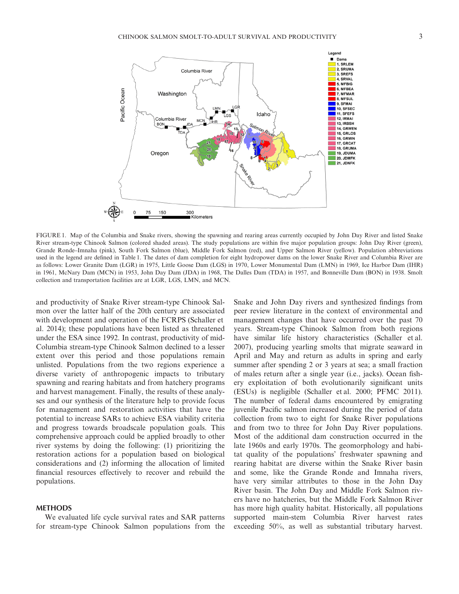

FIGURE 1. Map of the Columbia and Snake rivers, showing the spawning and rearing areas currently occupied by John Day River and listed Snake River stream-type Chinook Salmon (colored shaded areas). The study populations are within five major population groups: John Day River (green), Grande Ronde–Imnaha (pink), South Fork Salmon (blue), Middle Fork Salmon (red), and Upper Salmon River (yellow). Population abbreviations used in the legend are defined in Table 1. The dates of dam completion for eight hydropower dams on the lower Snake River and Columbia River are as follows: Lower Granite Dam (LGR) in 1975, Little Goose Dam (LGS) in 1970, Lower Monumental Dam (LMN) in 1969, Ice Harbor Dam (IHR) in 1961, McNary Dam (MCN) in 1953, John Day Dam (JDA) in 1968, The Dalles Dam (TDA) in 1957, and Bonneville Dam (BON) in 1938. Smolt collection and transportation facilities are at LGR, LGS, LMN, and MCN.

and productivity of Snake River stream-type Chinook Salmon over the latter half of the 20th century are associated with development and operation of the FCRPS (Schaller et al. 2014); these populations have been listed as threatened under the ESA since 1992. In contrast, productivity of mid-Columbia stream-type Chinook Salmon declined to a lesser extent over this period and those populations remain unlisted. Populations from the two regions experience a diverse variety of anthropogenic impacts to tributary spawning and rearing habitats and from hatchery programs and harvest management. Finally, the results of these analyses and our synthesis of the literature help to provide focus for management and restoration activities that have the potential to increase SARs to achieve ESA viability criteria and progress towards broadscale population goals. This comprehensive approach could be applied broadly to other river systems by doing the following: (1) prioritizing the restoration actions for a population based on biological considerations and (2) informing the allocation of limited financial resources effectively to recover and rebuild the populations.

#### **METHODS**

We evaluated life cycle survival rates and SAR patterns for stream-type Chinook Salmon populations from the

Snake and John Day rivers and synthesized findings from peer review literature in the context of environmental and management changes that have occurred over the past 70 years. Stream-type Chinook Salmon from both regions have similar life history characteristics (Schaller et al. 2007), producing yearling smolts that migrate seaward in April and May and return as adults in spring and early summer after spending 2 or 3 years at sea; a small fraction of males return after a single year (i.e., jacks). Ocean fishery exploitation of both evolutionarily significant units (ESUs) is negligible (Schaller et al. 2000; PFMC 2011). The number of federal dams encountered by emigrating juvenile Pacific salmon increased during the period of data collection from two to eight for Snake River populations and from two to three for John Day River populations. Most of the additional dam construction occurred in the late 1960s and early 1970s. The geomorphology and habitat quality of the populations' freshwater spawning and rearing habitat are diverse within the Snake River basin and some, like the Grande Ronde and Imnaha rivers, have very similar attributes to those in the John Day River basin. The John Day and Middle Fork Salmon rivers have no hatcheries, but the Middle Fork Salmon River has more high quality habitat. Historically, all populations supported main-stem Columbia River harvest rates exceeding 50%, as well as substantial tributary harvest.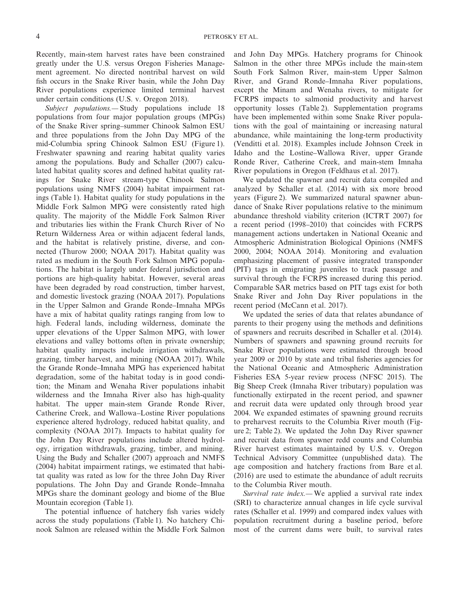Recently, main-stem harvest rates have been constrained greatly under the U.S. versus Oregon Fisheries Management agreement. No directed nontribal harvest on wild fish occurs in the Snake River basin, while the John Day River populations experience limited terminal harvest under certain conditions (U.S. v. Oregon 2018).

*Subject populations.—* Study populations include 18 populations from four major population groups (MPGs) of the Snake River spring–summer Chinook Salmon ESU and three populations from the John Day MPG of the mid-Columbia spring Chinook Salmon ESU (Figure 1). Freshwater spawning and rearing habitat quality varies among the populations. Budy and Schaller (2007) calculated habitat quality scores and defined habitat quality ratings for Snake River stream-type Chinook Salmon populations using NMFS (2004) habitat impairment ratings (Table 1). Habitat quality for study populations in the Middle Fork Salmon MPG were consistently rated high quality. The majority of the Middle Fork Salmon River and tributaries lies within the Frank Church River of No Return Wilderness Area or within adjacent federal lands, and the habitat is relatively pristine, diverse, and connected (Thurow 2000; NOAA 2017). Habitat quality was rated as medium in the South Fork Salmon MPG populations. The habitat is largely under federal jurisdiction and portions are high-quality habitat. However, several areas have been degraded by road construction, timber harvest, and domestic livestock grazing (NOAA 2017). Populations in the Upper Salmon and Grande Ronde–Imnaha MPGs have a mix of habitat quality ratings ranging from low to high. Federal lands, including wilderness, dominate the upper elevations of the Upper Salmon MPG, with lower elevations and valley bottoms often in private ownership; habitat quality impacts include irrigation withdrawals, grazing, timber harvest, and mining (NOAA 2017). While the Grande Ronde–Imnaha MPG has experienced habitat degradation, some of the habitat today is in good condition; the Minam and Wenaha River populations inhabit wilderness and the Imnaha River also has high-quality habitat. The upper main-stem Grande Ronde River, Catherine Creek, and Wallowa–Lostine River populations experience altered hydrology, reduced habitat quality, and complexity (NOAA 2017). Impacts to habitat quality for the John Day River populations include altered hydrology, irrigation withdrawals, grazing, timber, and mining. Using the Budy and Schaller (2007) approach and NMFS (2004) habitat impairment ratings, we estimated that habitat quality was rated as low for the three John Day River populations. The John Day and Grande Ronde–Imnaha MPGs share the dominant geology and biome of the Blue Mountain ecoregion (Table 1).

The potential influence of hatchery fish varies widely across the study populations (Table 1). No hatchery Chinook Salmon are released within the Middle Fork Salmon and John Day MPGs. Hatchery programs for Chinook Salmon in the other three MPGs include the main-stem South Fork Salmon River, main-stem Upper Salmon River, and Grand Ronde–Imnaha River populations, except the Minam and Wenaha rivers, to mitigate for FCRPS impacts to salmonid productivity and harvest opportunity losses (Table 2). Supplementation programs have been implemented within some Snake River populations with the goal of maintaining or increasing natural abundance, while maintaining the long-term productivity (Venditti et al. 2018). Examples include Johnson Creek in Idaho and the Lostine–Wallowa River, upper Grande Ronde River, Catherine Creek, and main-stem Imnaha River populations in Oregon (Feldhaus et al. 2017).

We updated the spawner and recruit data compiled and analyzed by Schaller et al. (2014) with six more brood years (Figure 2). We summarized natural spawner abundance of Snake River populations relative to the minimum abundance threshold viability criterion (ICTRT 2007) for a recent period (1998–2010) that coincides with FCRPS management actions undertaken in National Oceanic and Atmospheric Administration Biological Opinions (NMFS 2000, 2004; NOAA 2014). Monitoring and evaluation emphasizing placement of passive integrated transponder (PIT) tags in emigrating juveniles to track passage and survival through the FCRPS increased during this period. Comparable SAR metrics based on PIT tags exist for both Snake River and John Day River populations in the recent period (McCann et al. 2017).

We updated the series of data that relates abundance of parents to their progeny using the methods and definitions of spawners and recruits described in Schaller et al. (2014). Numbers of spawners and spawning ground recruits for Snake River populations were estimated through brood year 2009 or 2010 by state and tribal fisheries agencies for the National Oceanic and Atmospheric Administration Fisheries ESA 5-year review process (NFSC 2015). The Big Sheep Creek (Imnaha River tributary) population was functionally extirpated in the recent period, and spawner and recruit data were updated only through brood year 2004. We expanded estimates of spawning ground recruits to preharvest recruits to the Columbia River mouth (Figure 2; Table 2). We updated the John Day River spawner and recruit data from spawner redd counts and Columbia River harvest estimates maintained by U.S. v. Oregon Technical Advisory Committee (unpublished data). The age composition and hatchery fractions from Bare et al. (2016) are used to estimate the abundance of adult recruits to the Columbia River mouth.

*Survival rate index.—* We applied a survival rate index (SRI) to characterize annual changes in life cycle survival rates (Schaller et al. 1999) and compared index values with population recruitment during a baseline period, before most of the current dams were built, to survival rates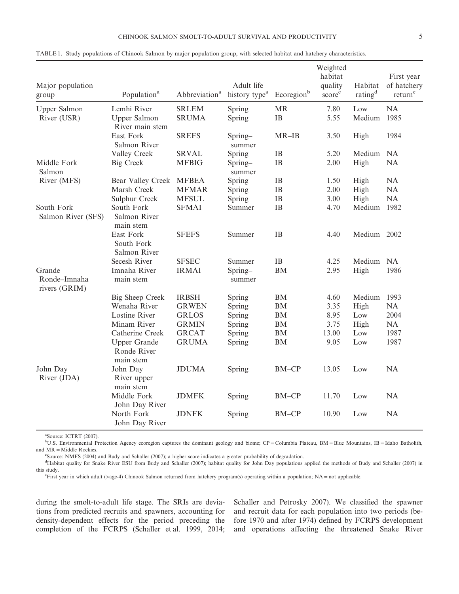| Major population<br>group               | Population <sup>a</sup>                               | Abbreviation <sup>a</sup>    | Adult life<br>history type <sup>a</sup> | Ecoregion <sup>b</sup> | Weighted<br>habitat<br>quality<br>score <sup>c</sup> | Habitat<br>rating <sup>d</sup> | First year<br>of hatchery<br>return <sup>e</sup> |
|-----------------------------------------|-------------------------------------------------------|------------------------------|-----------------------------------------|------------------------|------------------------------------------------------|--------------------------------|--------------------------------------------------|
| Upper Salmon<br>River (USR)             | Lemhi River<br><b>Upper Salmon</b><br>River main stem | <b>SRLEM</b><br><b>SRUMA</b> | Spring<br>Spring                        | MR<br>IB               | 7.80<br>5.55                                         | Low<br>Medium                  | NA<br>1985                                       |
|                                         | East Fork<br>Salmon River                             | <b>SREFS</b>                 | Spring-<br>summer                       | $MR-IB$                | 3.50                                                 | High                           | 1984                                             |
|                                         | Valley Creek                                          | <b>SRVAL</b>                 | Spring                                  | IB                     | 5.20                                                 | Medium                         | <b>NA</b>                                        |
| Middle Fork<br>Salmon                   | Big Creek                                             | <b>MFBIG</b>                 | Spring-<br>summer                       | IB                     | 2.00                                                 | High                           | NA                                               |
| River (MFS)                             | Bear Valley Creek MFBEA                               |                              | Spring                                  | $\rm IB$               | 1.50                                                 | High                           | NA                                               |
|                                         | Marsh Creek                                           | <b>MFMAR</b>                 | Spring                                  | IB                     | 2.00                                                 | High                           | NA                                               |
|                                         | Sulphur Creek                                         | <b>MFSUL</b>                 | Spring                                  | IB                     | 3.00                                                 | High                           | NA                                               |
| South Fork<br>Salmon River (SFS)        | South Fork<br>Salmon River<br>main stem               | <b>SFMAI</b>                 | Summer                                  | IB                     | 4.70                                                 | Medium                         | 1982                                             |
|                                         | East Fork<br>South Fork<br>Salmon River               | <b>SFEFS</b>                 | Summer                                  | <b>IB</b>              | 4.40                                                 | Medium 2002                    |                                                  |
|                                         | Secesh River                                          | <b>SFSEC</b>                 | Summer                                  | $\rm IB$               | 4.25                                                 | Medium                         | <b>NA</b>                                        |
| Grande<br>Ronde-Imnaha<br>rivers (GRIM) | Imnaha River<br>main stem                             | <b>IRMAI</b>                 | Spring-<br>summer                       | <b>BM</b>              | 2.95                                                 | High                           | 1986                                             |
|                                         | <b>Big Sheep Creek</b>                                | <b>IRBSH</b>                 | Spring                                  | ${\rm BM}$             | 4.60                                                 | Medium                         | 1993                                             |
|                                         | Wenaha River                                          | <b>GRWEN</b>                 | Spring                                  | $\rm BM$               | 3.35                                                 | High                           | NA                                               |
|                                         | Lostine River                                         | <b>GRLOS</b>                 | Spring                                  | <b>BM</b>              | 8.95                                                 | Low                            | 2004                                             |
|                                         | Minam River                                           | <b>GRMIN</b>                 | Spring                                  | <b>BM</b>              | 3.75                                                 | High                           | NA                                               |
|                                         | Catherine Creek                                       | <b>GRCAT</b>                 | Spring                                  | <b>BM</b>              | 13.00                                                | Low                            | 1987                                             |
|                                         | <b>Upper Grande</b><br>Ronde River<br>main stem       | <b>GRUMA</b>                 | Spring                                  | <b>BM</b>              | 9.05                                                 | Low                            | 1987                                             |
| John Day<br>River (JDA)                 | John Day<br>River upper<br>main stem                  | <b>JDUMA</b>                 | Spring                                  | <b>BM-CP</b>           | 13.05                                                | Low                            | NA                                               |
|                                         | Middle Fork<br>John Day River                         | <b>JDMFK</b>                 | Spring                                  | <b>BM-CP</b>           | 11.70                                                | Low                            | <b>NA</b>                                        |
|                                         | North Fork<br>John Day River                          | <b>JDNFK</b>                 | Spring                                  | <b>BM-CP</b>           | 10.90                                                | Low                            | <b>NA</b>                                        |

TABLE 1. Study populations of Chinook Salmon by major population group, with selected habitat and hatchery characteristics.

<sup>a</sup>Source: ICTRT (2007).

<sup>b</sup>U.S. Environmental Protection Agency ecoregion captures the dominant geology and biome; CP = Columbia Plateau, BM = Blue Mountains, IB = Idaho Batholith, and MR = Middle Rockies.

c Source: NMFS (2004) and Budy and Schaller (2007); a higher score indicates a greater probability of degradation.

<sup>d</sup>Habitat quality for Snake River ESU from Budy and Schaller (2007); habitat quality for John Day populations applied the methods of Budy and Schaller (2007) in this study.

e First year in which adult (>age-4) Chinook Salmon returned from hatchery program(s) operating within a population; NA = not applicable.

during the smolt-to-adult life stage. The SRIs are deviations from predicted recruits and spawners, accounting for density-dependent effects for the period preceding the completion of the FCRPS (Schaller et al. 1999, 2014; Schaller and Petrosky 2007). We classified the spawner and recruit data for each population into two periods (before 1970 and after 1974) defined by FCRPS development and operations affecting the threatened Snake River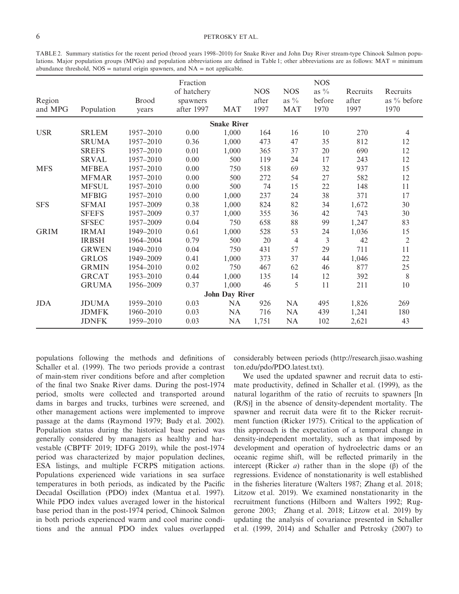TABLE 2. Summary statistics for the recent period (brood years 1998–2010) for Snake River and John Day River stream-type Chinook Salmon populations. Major population groups (MPGs) and population abbreviations are defined in Table 1; other abbreviations are as follows: MAT = minimum abundance threshold,  $NOS =$  natural origin spawners, and  $NA =$  not applicable.

|             |              |              | Fraction    |                       |            |                | <b>NOS</b>     |          |                |
|-------------|--------------|--------------|-------------|-----------------------|------------|----------------|----------------|----------|----------------|
|             |              |              | of hatchery |                       | <b>NOS</b> | <b>NOS</b>     | as $\%$        | Recruits | Recruits       |
| Region      |              | <b>Brood</b> | spawners    |                       | after      | as $\%$        | before         | after    | as % before    |
| and MPG     | Population   | years        | after 1997  | <b>MAT</b>            | 1997       | <b>MAT</b>     | 1970           | 1997     | 1970           |
|             |              |              |             | <b>Snake River</b>    |            |                |                |          |                |
| <b>USR</b>  | <b>SRLEM</b> | 1957-2010    | 0.00        | 1,000                 | 164        | 16             | 10             | 270      | 4              |
|             | <b>SRUMA</b> | 1957-2010    | 0.36        | 1,000                 | 473        | 47             | 35             | 812      | 12             |
|             | <b>SREFS</b> | 1957-2010    | 0.01        | 1,000                 | 365        | 37             | 20             | 690      | 12             |
|             | <b>SRVAL</b> | 1957-2010    | 0.00        | 500                   | 119        | 24             | 17             | 243      | 12             |
| <b>MFS</b>  | <b>MFBEA</b> | 1957-2010    | 0.00        | 750                   | 518        | 69             | 32             | 937      | 15             |
|             | <b>MFMAR</b> | 1957-2010    | 0.00        | 500                   | 272        | 54             | 27             | 582      | 12             |
|             | <b>MFSUL</b> | 1957-2010    | 0.00        | 500                   | 74         | 15             | 22             | 148      | 11             |
|             | <b>MFBIG</b> | 1957-2010    | 0.00        | 1,000                 | 237        | 24             | 38             | 371      | 17             |
| <b>SFS</b>  | <b>SFMAI</b> | 1957-2009    | 0.38        | 1,000                 | 824        | 82             | 34             | 1,672    | 30             |
|             | <b>SFEFS</b> | 1957-2009    | 0.37        | 1,000                 | 355        | 36             | 42             | 743      | 30             |
|             | <b>SFSEC</b> | 1957-2009    | 0.04        | 750                   | 658        | 88             | 99             | 1,247    | 83             |
| <b>GRIM</b> | <b>IRMAI</b> | 1949-2010    | 0.61        | 1,000                 | 528        | 53             | 24             | 1,036    | 15             |
|             | <b>IRBSH</b> | 1964-2004    | 0.79        | 500                   | 20         | $\overline{4}$ | $\overline{3}$ | 42       | $\overline{2}$ |
|             | <b>GRWEN</b> | 1949-2010    | 0.04        | 750                   | 431        | 57             | 29             | 711      | 11             |
|             | <b>GRLOS</b> | 1949-2009    | 0.41        | 1,000                 | 373        | 37             | 44             | 1,046    | 22             |
|             | <b>GRMIN</b> | 1954-2010    | 0.02        | 750                   | 467        | 62             | 46             | 877      | 25             |
|             | <b>GRCAT</b> | 1953-2010    | 0.44        | 1,000                 | 135        | 14             | 12             | 392      | 8              |
|             | <b>GRUMA</b> | 1956-2009    | 0.37        | 1,000                 | 46         | 5              | 11             | 211      | 10             |
|             |              |              |             | <b>John Day River</b> |            |                |                |          |                |
| <b>JDA</b>  | <b>JDUMA</b> | 1959-2010    | 0.03        | <b>NA</b>             | 926        | <b>NA</b>      | 495            | 1,826    | 269            |
|             | <b>JDMFK</b> | 1960-2010    | 0.03        | NA                    | 716        | <b>NA</b>      | 439            | 1,241    | 180            |
|             | <b>JDNFK</b> | 1959-2010    | 0.03        | NA                    | 1,751      | NA             | 102            | 2,621    | 43             |

populations following the methods and definitions of Schaller et al. (1999). The two periods provide a contrast of main-stem river conditions before and after completion of the final two Snake River dams. During the post-1974 period, smolts were collected and transported around dams in barges and trucks, turbines were screened, and other management actions were implemented to improve passage at the dams (Raymond 1979; Budy et al. 2002). Population status during the historical base period was generally considered by managers as healthy and harvestable (CBPTF 2019; IDFG 2019), while the post-1974 period was characterized by major population declines, ESA listings, and multiple FCRPS mitigation actions. Populations experienced wide variations in sea surface temperatures in both periods, as indicated by the Pacific Decadal Oscillation (PDO) index (Mantua et al. 1997). While PDO index values averaged lower in the historical base period than in the post-1974 period, Chinook Salmon in both periods experienced warm and cool marine conditions and the annual PDO index values overlapped

considerably between periods [\(http://research.jisao.washing](http://research.jisao.washington.edu/pdo/PDO.latest.txt) [ton.edu/pdo/PDO.latest.txt\)](http://research.jisao.washington.edu/pdo/PDO.latest.txt).

We used the updated spawner and recruit data to estimate productivity, defined in Schaller et al. (1999), as the natural logarithm of the ratio of recruits to spawners [ln (R/S)] in the absence of density-dependent mortality. The spawner and recruit data were fit to the Ricker recruitment function (Ricker 1975). Critical to the application of this approach is the expectation of a temporal change in density-independent mortality, such as that imposed by development and operation of hydroelectric dams or an oceanic regime shift, will be reflected primarily in the intercept (Ricker *a*) rather than in the slope (β) of the regressions. Evidence of nonstationarity is well established in the fisheries literature (Walters 1987; Zhang et al. 2018; Litzow et al. 2019). We examined nonstationarity in the recruitment functions (Hilborn and Walters 1992; Ruggerone 2003; Zhang et al. 2018; Litzow et al. 2019) by updating the analysis of covariance presented in Schaller et al. (1999, 2014) and Schaller and Petrosky (2007) to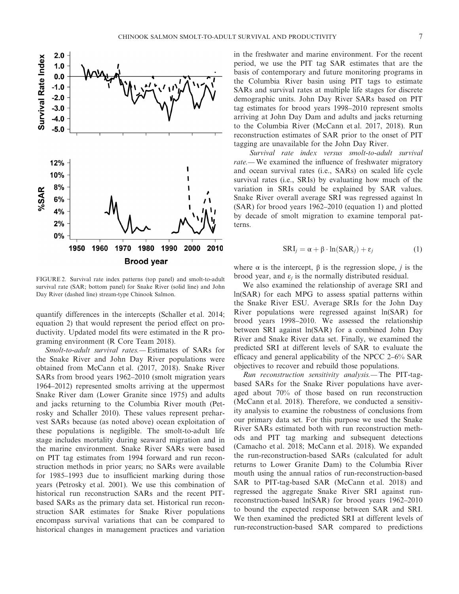

FIGURE 2. Survival rate index patterns (top panel) and smolt-to-adult survival rate (SAR; bottom panel) for Snake River (solid line) and John Day River (dashed line) stream-type Chinook Salmon.

quantify differences in the intercepts (Schaller et al. 2014; equation 2) that would represent the period effect on productivity. Updated model fits were estimated in the R programing environment (R Core Team 2018).

*Smolt-to-adult survival rates.—* Estimates of SARs for the Snake River and John Day River populations were obtained from McCann et al. (2017, 2018). Snake River SARs from brood years 1962–2010 (smolt migration years 1964–2012) represented smolts arriving at the uppermost Snake River dam (Lower Granite since 1975) and adults and jacks returning to the Columbia River mouth (Petrosky and Schaller 2010). These values represent preharvest SARs because (as noted above) ocean exploitation of these populations is negligible. The smolt-to-adult life stage includes mortality during seaward migration and in the marine environment. Snake River SARs were based on PIT tag estimates from 1994 forward and run reconstruction methods in prior years; no SARs were available for 1985–1993 due to insufficient marking during those years (Petrosky et al. 2001). We use this combination of historical run reconstruction SARs and the recent PITbased SARs as the primary data set. Historical run reconstruction SAR estimates for Snake River populations encompass survival variations that can be compared to historical changes in management practices and variation in the freshwater and marine environment. For the recent period, we use the PIT tag SAR estimates that are the basis of contemporary and future monitoring programs in the Columbia River basin using PIT tags to estimate SARs and survival rates at multiple life stages for discrete demographic units. John Day River SARs based on PIT tag estimates for brood years 1998–2010 represent smolts arriving at John Day Dam and adults and jacks returning to the Columbia River (McCann et al. 2017, 2018). Run reconstruction estimates of SAR prior to the onset of PIT tagging are unavailable for the John Day River.

*Survival rate index versus smolt-to-adult survival rate.—* We examined the influence of freshwater migratory and ocean survival rates (i.e., SARs) on scaled life cycle survival rates (i.e., SRIs) by evaluating how much of the variation in SRIs could be explained by SAR values. Snake River overall average SRI was regressed against ln (SAR) for brood years 1962–2010 (equation 1) and plotted by decade of smolt migration to examine temporal patterns.

$$
SRI_j = \alpha + \beta \cdot \ln(SAR_j) + \varepsilon_j \tag{1}
$$

where  $\alpha$  is the intercept,  $\beta$  is the regression slope, *j* is the brood year, and  $\varepsilon_j$  is the normally distributed residual.

We also examined the relationship of average SRI and ln(SAR) for each MPG to assess spatial patterns within the Snake River ESU. Average SRIs for the John Day River populations were regressed against ln(SAR) for brood years 1998–2010. We assessed the relationship between SRI against ln(SAR) for a combined John Day River and Snake River data set. Finally, we examined the predicted SRI at different levels of SAR to evaluate the efficacy and general applicability of the NPCC 2–6% SAR objectives to recover and rebuild those populations.

*Run reconstruction sensitivity analysis.—* The PIT-tagbased SARs for the Snake River populations have averaged about 70% of those based on run reconstruction (McCann et al. 2018). Therefore, we conducted a sensitivity analysis to examine the robustness of conclusions from our primary data set. For this purpose we used the Snake River SARs estimated both with run reconstruction methods and PIT tag marking and subsequent detections (Camacho et al. 2018; McCann et al. 2018). We expanded the run-reconstruction-based SARs (calculated for adult returns to Lower Granite Dam) to the Columbia River mouth using the annual ratios of run-reconstruction-based SAR to PIT-tag-based SAR (McCann et al. 2018) and regressed the aggregate Snake River SRI against runreconstruction-based ln(SAR) for brood years 1962–2010 to bound the expected response between SAR and SRI. We then examined the predicted SRI at different levels of run-reconstruction-based SAR compared to predictions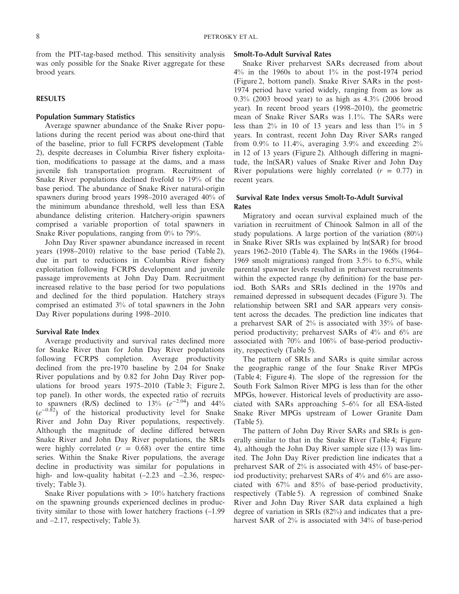from the PIT-tag-based method. This sensitivity analysis was only possible for the Snake River aggregate for these brood years.

#### **RESULTS**

#### **Population Summary Statistics**

Average spawner abundance of the Snake River populations during the recent period was about one-third that of the baseline, prior to full FCRPS development (Table 2), despite decreases in Columbia River fishery exploitation, modifications to passage at the dams, and a mass juvenile fish transportation program. Recruitment of Snake River populations declined fivefold to 19% of the base period. The abundance of Snake River natural-origin spawners during brood years 1998–2010 averaged 40% of the minimum abundance threshold, well less than ESA abundance delisting criterion. Hatchery-origin spawners comprised a variable proportion of total spawners in Snake River populations, ranging from 0% to 79%.

John Day River spawner abundance increased in recent years (1998–2010) relative to the base period (Table 2), due in part to reductions in Columbia River fishery exploitation following FCRPS development and juvenile passage improvements at John Day Dam. Recruitment increased relative to the base period for two populations and declined for the third population. Hatchery strays comprised an estimated 3% of total spawners in the John Day River populations during 1998–2010.

#### **Survival Rate Index**

Average productivity and survival rates declined more for Snake River than for John Day River populations following FCRPS completion. Average productivity declined from the pre-1970 baseline by 2.04 for Snake River populations and by 0.82 for John Day River populations for brood years 1975–2010 (Table 3; Figure 2, top panel). In other words, the expected ratio of recruits to spawners (R/S) declined to  $13\%$  ( $e^{-2.04}$ ) and  $44\%$ (*e* <sup>−</sup>0.82) of the historical productivity level for Snake River and John Day River populations, respectively. Although the magnitude of decline differed between Snake River and John Day River populations, the SRIs were highly correlated  $(r = 0.68)$  over the entire time series. Within the Snake River populations, the average decline in productivity was similar for populations in high- and low-quality habitat  $(-2.23 \text{ and } -2.36, \text{ respectively})$ tively; Table 3).

Snake River populations with  $> 10\%$  hatchery fractions on the spawning grounds experienced declines in productivity similar to those with lower hatchery fractions (–1.99 and –2.17, respectively; Table 3).

#### **Smolt-To-Adult Survival Rates**

Snake River preharvest SARs decreased from about 4% in the 1960s to about 1% in the post-1974 period (Figure 2, bottom panel). Snake River SARs in the post-1974 period have varied widely, ranging from as low as 0.3% (2003 brood year) to as high as 4.3% (2006 brood year). In recent brood years (1998–2010), the geometric mean of Snake River SARs was 1.1%. The SARs were less than 2% in 10 of 13 years and less than 1% in 5 years. In contrast, recent John Day River SARs ranged from  $0.9\%$  to  $11.4\%$ , averaging  $3.9\%$  and exceeding  $2\%$ in 12 of 13 years (Figure 2). Although differing in magnitude, the ln(SAR) values of Snake River and John Day River populations were highly correlated  $(r = 0.77)$  in recent years.

#### **Survival Rate Index versus Smolt-To-Adult Survival Rates**

Migratory and ocean survival explained much of the variation in recruitment of Chinook Salmon in all of the study populations. A large portion of the variation (80%) in Snake River SRIs was explained by ln(SAR) for brood years 1962–2010 (Table 4). The SARs in the 1960s (1964– 1969 smolt migrations) ranged from 3.5% to 6.5%, while parental spawner levels resulted in preharvest recruitments within the expected range (by definition) for the base period. Both SARs and SRIs declined in the 1970s and remained depressed in subsequent decades (Figure 3). The relationship between SRI and SAR appears very consistent across the decades. The prediction line indicates that a preharvest SAR of 2% is associated with 35% of baseperiod productivity; preharvest SARs of 4% and 6% are associated with 70% and 106% of base-period productivity, respectively (Table 5).

The pattern of SRIs and SARs is quite similar across the geographic range of the four Snake River MPGs (Table 4; Figure 4). The slope of the regression for the South Fork Salmon River MPG is less than for the other MPGs, however. Historical levels of productivity are associated with SARs approaching 5–6% for all ESA-listed Snake River MPGs upstream of Lower Granite Dam (Table 5).

The pattern of John Day River SARs and SRIs is generally similar to that in the Snake River (Table 4; Figure 4), although the John Day River sample size (13) was limited. The John Day River prediction line indicates that a preharvest SAR of 2% is associated with 45% of base-period productivity; preharvest SARs of 4% and 6% are associated with 67% and 85% of base-period productivity, respectively (Table 5). A regression of combined Snake River and John Day River SAR data explained a high degree of variation in SRIs (82%) and indicates that a preharvest SAR of 2% is associated with 34% of base-period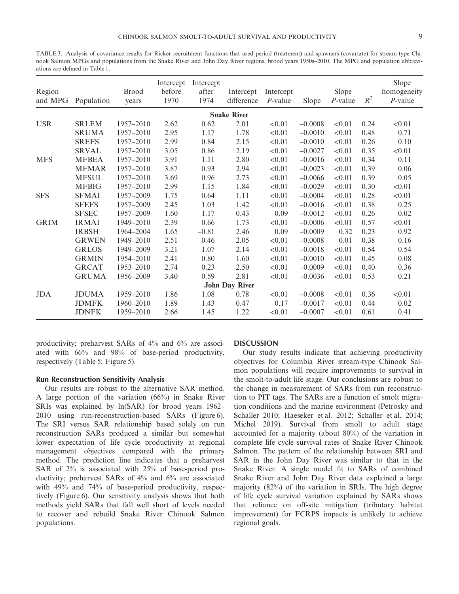TABLE 3. Analysis of covariance results for Ricker recruitment functions that used period (treatment) and spawners (covariate) for stream-type Chinook Salmon MPGs and populations from the Snake River and John Day River regions, brood years 1950s–2010. The MPG and population abbreviations are defined in Table 1.

| Region<br>and MPG | Population   | <b>Brood</b><br>years | Intercept<br>before<br>1970 | Intercept<br>after<br>1974 | Intercept<br>difference | Intercept<br>$P$ -value | Slope     | Slope<br>$P$ -value | $R^2$ | Slope<br>homogeneity<br>$P$ -value |
|-------------------|--------------|-----------------------|-----------------------------|----------------------------|-------------------------|-------------------------|-----------|---------------------|-------|------------------------------------|
|                   |              |                       |                             |                            | <b>Snake River</b>      |                         |           |                     |       |                                    |
| <b>USR</b>        | <b>SRLEM</b> | 1957-2010             | 2.62                        | 0.62                       | 2.01                    | < 0.01                  | $-0.0008$ | < 0.01              | 0.24  | < 0.01                             |
|                   | <b>SRUMA</b> | 1957-2010             | 2.95                        | 1.17                       | 1.78                    | < 0.01                  | $-0.0010$ | < 0.01              | 0.48  | 0.71                               |
|                   | <b>SREFS</b> | 1957-2010             | 2.99                        | 0.84                       | 2.15                    | < 0.01                  | $-0.0010$ | < 0.01              | 0.26  | 0.10                               |
|                   | <b>SRVAL</b> | 1957-2010             | 3.05                        | 0.86                       | 2.19                    | < 0.01                  | $-0.0027$ | < 0.01              | 0.35  | < 0.01                             |
| <b>MFS</b>        | <b>MFBEA</b> | 1957-2010             | 3.91                        | 1.11                       | 2.80                    | < 0.01                  | $-0.0016$ | < 0.01              | 0.34  | 0.11                               |
|                   | <b>MFMAR</b> | 1957-2010             | 3.87                        | 0.93                       | 2.94                    | < 0.01                  | $-0.0023$ | < 0.01              | 0.39  | 0.06                               |
|                   | <b>MFSUL</b> | 1957-2010             | 3.69                        | 0.96                       | 2.73                    | < 0.01                  | $-0.0066$ | < 0.01              | 0.39  | 0.05                               |
|                   | <b>MFBIG</b> | 1957-2010             | 2.99                        | 1.15                       | 1.84                    | < 0.01                  | $-0.0029$ | < 0.01              | 0.30  | < 0.01                             |
| <b>SFS</b>        | <b>SFMAI</b> | 1957-2009             | 1.75                        | 0.64                       | 1.11                    | < 0.01                  | $-0.0004$ | < 0.01              | 0.28  | < 0.01                             |
|                   | <b>SFEFS</b> | 1957-2009             | 2.45                        | 1.03                       | 1.42                    | < 0.01                  | $-0.0016$ | < 0.01              | 0.38  | 0.25                               |
|                   | <b>SFSEC</b> | 1957-2009             | 1.60                        | 1.17                       | 0.43                    | 0.09                    | $-0.0012$ | < 0.01              | 0.26  | 0.02                               |
| <b>GRIM</b>       | <b>IRMAI</b> | 1949-2010             | 2.39                        | 0.66                       | 1.73                    | < 0.01                  | $-0.0006$ | < 0.01              | 0.57  | < 0.01                             |
|                   | <b>IRBSH</b> | 1964-2004             | 1.65                        | $-0.81$                    | 2.46                    | 0.09                    | $-0.0009$ | 0.32                | 0.23  | 0.92                               |
|                   | <b>GRWEN</b> | 1949-2010             | 2.51                        | 0.46                       | 2.05                    | < 0.01                  | $-0.0008$ | 0.01                | 0.38  | 0.16                               |
|                   | <b>GRLOS</b> | 1949-2009             | 3.21                        | 1.07                       | 2.14                    | < 0.01                  | $-0.0018$ | < 0.01              | 0.54  | 0.54                               |
|                   | <b>GRMIN</b> | 1954-2010             | 2.41                        | 0.80                       | 1.60                    | < 0.01                  | $-0.0010$ | < 0.01              | 0.45  | 0.08                               |
|                   | <b>GRCAT</b> | 1953-2010             | 2.74                        | 0.23                       | 2.50                    | < 0.01                  | $-0.0009$ | < 0.01              | 0.40  | 0.36                               |
|                   | <b>GRUMA</b> | 1956-2009             | 3.40                        | 0.59                       | 2.81                    | < 0.01                  | $-0.0036$ | < 0.01              | 0.53  | 0.21                               |
|                   |              |                       |                             |                            | <b>John Day River</b>   |                         |           |                     |       |                                    |
| <b>JDA</b>        | <b>JDUMA</b> | 1959-2010             | 1.86                        | 1.08                       | 0.78                    | < 0.01                  | $-0.0008$ | < 0.01              | 0.36  | < 0.01                             |
|                   | <b>JDMFK</b> | 1960-2010             | 1.89                        | 1.43                       | 0.47                    | 0.17                    | $-0.0017$ | < 0.01              | 0.44  | 0.02                               |
|                   | <b>JDNFK</b> | 1959-2010             | 2.66                        | 1.45                       | 1.22                    | < 0.01                  | $-0.0007$ | < 0.01              | 0.61  | 0.41                               |

productivity; preharvest SARs of 4% and 6% are associated with 66% and 98% of base-period productivity, respectively (Table 5; Figure 5).

#### **Run Reconstruction Sensitivity Analysis**

Our results are robust to the alternative SAR method. A large portion of the variation (66%) in Snake River SRIs was explained by ln(SAR) for brood years 1962– 2010 using run-reconstruction-based SARs (Figure 6). The SRI versus SAR relationship based solely on run reconstruction SARs produced a similar but somewhat lower expectation of life cycle productivity at regional management objectives compared with the primary method. The prediction line indicates that a preharvest SAR of 2% is associated with 25% of base-period productivity; preharvest SARs of 4% and 6% are associated with 49% and 74% of base-period productivity, respectively (Figure 6). Our sensitivity analysis shows that both methods yield SARs that fall well short of levels needed to recover and rebuild Snake River Chinook Salmon populations.

#### **DISCUSSION**

Our study results indicate that achieving productivity objectives for Columbia River stream-type Chinook Salmon populations will require improvements to survival in the smolt-to-adult life stage. Our conclusions are robust to the change in measurement of SARs from run reconstruction to PIT tags. The SARs are a function of smolt migration conditions and the marine environment (Petrosky and Schaller 2010; Haeseker et al. 2012; Schaller et al. 2014; Michel 2019). Survival from smolt to adult stage accounted for a majority (about 80%) of the variation in complete life cycle survival rates of Snake River Chinook Salmon. The pattern of the relationship between SRI and SAR in the John Day River was similar to that in the Snake River. A single model fit to SARs of combined Snake River and John Day River data explained a large majority (82%) of the variation in SRIs. The high degree of life cycle survival variation explained by SARs shows that reliance on off-site mitigation (tributary habitat improvement) for FCRPS impacts is unlikely to achieve regional goals.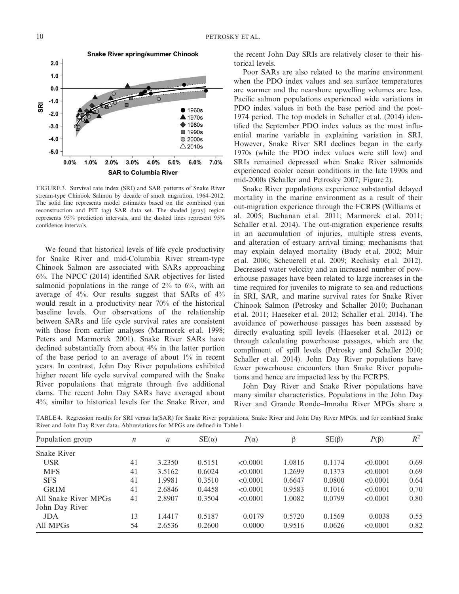

FIGURE 3. Survival rate index (SRI) and SAR patterns of Snake River stream-type Chinook Salmon by decade of smolt migration, 1964–2012. The solid line represents model estimates based on the combined (run reconstruction and PIT tag) SAR data set. The shaded (gray) region represents 95% prediction intervals, and the dashed lines represent 95% confidence intervals.

We found that historical levels of life cycle productivity for Snake River and mid-Columbia River stream-type Chinook Salmon are associated with SARs approaching 6%. The NPCC (2014) identified SAR objectives for listed salmonid populations in the range of  $2\%$  to  $6\%$ , with an average of 4%. Our results suggest that SARs of 4% would result in a productivity near 70% of the historical baseline levels. Our observations of the relationship between SARs and life cycle survival rates are consistent with those from earlier analyses (Marmorek et al. 1998; Peters and Marmorek 2001). Snake River SARs have declined substantially from about 4% in the latter portion of the base period to an average of about 1% in recent years. In contrast, John Day River populations exhibited higher recent life cycle survival compared with the Snake River populations that migrate through five additional dams. The recent John Day SARs have averaged about 4%, similar to historical levels for the Snake River, and the recent John Day SRIs are relatively closer to their historical levels.

Poor SARs are also related to the marine environment when the PDO index values and sea surface temperatures are warmer and the nearshore upwelling volumes are less. Pacific salmon populations experienced wide variations in PDO index values in both the base period and the post-1974 period. The top models in Schaller et al. (2014) identified the September PDO index values as the most influential marine variable in explaining variation in SRI. However, Snake River SRI declines began in the early 1970s (while the PDO index values were still low) and SRIs remained depressed when Snake River salmonids experienced cooler ocean conditions in the late 1990s and mid-2000s (Schaller and Petrosky 2007; Figure 2).

Snake River populations experience substantial delayed mortality in the marine environment as a result of their out-migration experience through the FCRPS (Williams et al. 2005; Buchanan et al. 2011; Marmorek et al. 2011; Schaller et al. 2014). The out-migration experience results in an accumulation of injuries, multiple stress events, and alteration of estuary arrival timing: mechanisms that may explain delayed mortality (Budy et al. 2002; Muir et al. 2006; Scheuerell et al. 2009; Rechisky et al. 2012). Decreased water velocity and an increased number of powerhouse passages have been related to large increases in the time required for juveniles to migrate to sea and reductions in SRI, SAR, and marine survival rates for Snake River Chinook Salmon (Petrosky and Schaller 2010; Buchanan et al. 2011; Haeseker et al. 2012; Schaller et al. 2014). The avoidance of powerhouse passages has been assessed by directly evaluating spill levels (Haeseker et al. 2012) or through calculating powerhouse passages, which are the compliment of spill levels (Petrosky and Schaller 2010; Schaller et al. 2014). John Day River populations have fewer powerhouse encounters than Snake River populations and hence are impacted less by the FCRPS.

John Day River and Snake River populations have many similar characteristics. Populations in the John Day River and Grande Ronde–Imnaha River MPGs share a

TABLE 4. Regression results for SRI versus ln(SAR) for Snake River populations, Snake River and John Day River MPGs, and for combined Snake River and John Day River data. Abbreviations for MPGs are defined in Table 1.

| Population group     | n  | $\mathfrak a$ | $SE(\alpha)$ | $P(\alpha)$ | β      | $SE(\beta)$ | $P(\beta)$ | $R^2$ |
|----------------------|----|---------------|--------------|-------------|--------|-------------|------------|-------|
|                      |    |               |              |             |        |             |            |       |
| <b>Snake River</b>   |    |               |              |             |        |             |            |       |
| <b>USR</b>           | 41 | 3.2350        | 0.5151       | < 0.0001    | 1.0816 | 0.1174      | < 0.0001   | 0.69  |
| <b>MFS</b>           | 41 | 3.5162        | 0.6024       | < 0.0001    | 1.2699 | 0.1373      | < 0.0001   | 0.69  |
| <b>SFS</b>           | 41 | 1.9981        | 0.3510       | < 0.0001    | 0.6647 | 0.0800      | < 0.0001   | 0.64  |
| <b>GRIM</b>          | 41 | 2.6846        | 0.4458       | < 0.0001    | 0.9583 | 0.1016      | < 0.0001   | 0.70  |
| All Snake River MPGs | 41 | 2.8907        | 0.3504       | < 0.0001    | 1.0082 | 0.0799      | < 0.0001   | 0.80  |
| John Day River       |    |               |              |             |        |             |            |       |
| <b>JDA</b>           | 13 | 1.4417        | 0.5187       | 0.0179      | 0.5720 | 0.1569      | 0.0038     | 0.55  |
| All MPGs             | 54 | 2.6536        | 0.2600       | 0.0000      | 0.9516 | 0.0626      | < 0.0001   | 0.82  |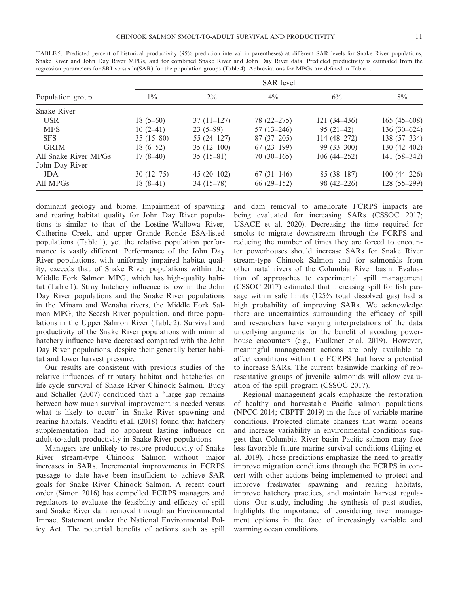|                      | <b>SAR</b> level |              |              |                 |                 |  |  |  |  |  |  |
|----------------------|------------------|--------------|--------------|-----------------|-----------------|--|--|--|--|--|--|
| Population group     | $1\%$            | $2\%$        | $4\%$        | $6\%$           | $8\%$           |  |  |  |  |  |  |
| <b>Snake River</b>   |                  |              |              |                 |                 |  |  |  |  |  |  |
| <b>USR</b>           | $18(5-60)$       | $37(11-127)$ | 78 (22-275)  | $121(34 - 436)$ | $165(45-608)$   |  |  |  |  |  |  |
| <b>MFS</b>           | $10(2-41)$       | $23(5-99)$   | $57(13-246)$ | $95(21-42)$     | $136(30-624)$   |  |  |  |  |  |  |
| <b>SFS</b>           | $35(15-80)$      | $55(24-127)$ | $87(37-205)$ | $114(48-272)$   | 138 (57-334)    |  |  |  |  |  |  |
| <b>GRIM</b>          | $18(6-52)$       | $35(12-100)$ | $67(23-199)$ | $99(33-300)$    | $130(42 - 402)$ |  |  |  |  |  |  |
| All Snake River MPGs | $17(8-40)$       | $35(15-81)$  | $70(30-165)$ | $106(44 - 252)$ | 141 (58-342)    |  |  |  |  |  |  |
| John Day River       |                  |              |              |                 |                 |  |  |  |  |  |  |
| <b>JDA</b>           | $30(12-75)$      | $45(20-102)$ | $67(31-146)$ | $85(38-187)$    | $100(44 - 226)$ |  |  |  |  |  |  |
| All MPGs             | $18(8-41)$       | $34(15-78)$  | $66(29-152)$ | 98 (42–226)     | 128 (55-299)    |  |  |  |  |  |  |

TABLE 5. Predicted percent of historical productivity (95% prediction interval in parentheses) at different SAR levels for Snake River populations, Snake River and John Day River MPGs, and for combined Snake River and John Day River data. Predicted productivity is estimated from the regression parameters for SRI versus ln(SAR) for the population groups (Table 4). Abbreviations for MPGs are defined in Table 1.

dominant geology and biome. Impairment of spawning and rearing habitat quality for John Day River populations is similar to that of the Lostine–Wallowa River, Catherine Creek, and upper Grande Ronde ESA-listed populations (Table 1), yet the relative population performance is vastly different. Performance of the John Day River populations, with uniformly impaired habitat quality, exceeds that of Snake River populations within the Middle Fork Salmon MPG, which has high-quality habitat (Table 1). Stray hatchery influence is low in the John Day River populations and the Snake River populations in the Minam and Wenaha rivers, the Middle Fork Salmon MPG, the Secesh River population, and three populations in the Upper Salmon River (Table 2). Survival and productivity of the Snake River populations with minimal hatchery influence have decreased compared with the John Day River populations, despite their generally better habitat and lower harvest pressure.

Our results are consistent with previous studies of the relative influences of tributary habitat and hatcheries on life cycle survival of Snake River Chinook Salmon. Budy and Schaller (2007) concluded that a "large gap remains between how much survival improvement is needed versus what is likely to occur" in Snake River spawning and rearing habitats. Venditti et al. (2018) found that hatchery supplementation had no apparent lasting influence on adult-to-adult productivity in Snake River populations.

Managers are unlikely to restore productivity of Snake River stream-type Chinook Salmon without major increases in SARs. Incremental improvements in FCRPS passage to date have been insufficient to achieve SAR goals for Snake River Chinook Salmon. A recent court order (Simon 2016) has compelled FCRPS managers and regulators to evaluate the feasibility and efficacy of spill and Snake River dam removal through an Environmental Impact Statement under the National Environmental Policy Act. The potential benefits of actions such as spill and dam removal to ameliorate FCRPS impacts are being evaluated for increasing SARs (CSSOC 2017; USACE et al. 2020). Decreasing the time required for smolts to migrate downstream through the FCRPS and reducing the number of times they are forced to encounter powerhouses should increase SARs for Snake River stream-type Chinook Salmon and for salmonids from other natal rivers of the Columbia River basin. Evaluation of approaches to experimental spill management (CSSOC 2017) estimated that increasing spill for fish passage within safe limits (125% total dissolved gas) had a high probability of improving SARs. We acknowledge there are uncertainties surrounding the efficacy of spill and researchers have varying interpretations of the data underlying arguments for the benefit of avoiding powerhouse encounters (e.g., Faulkner et al. 2019). However, meaningful management actions are only available to affect conditions within the FCRPS that have a potential to increase SARs. The current basinwide marking of representative groups of juvenile salmonids will allow evaluation of the spill program (CSSOC 2017).

Regional management goals emphasize the restoration of healthy and harvestable Pacific salmon populations (NPCC 2014; CBPTF 2019) in the face of variable marine conditions. Projected climate changes that warm oceans and increase variability in environmental conditions suggest that Columbia River basin Pacific salmon may face less favorable future marine survival conditions (Lijing et al. 2019). Those predictions emphasize the need to greatly improve migration conditions through the FCRPS in concert with other actions being implemented to protect and improve freshwater spawning and rearing habitats, improve hatchery practices, and maintain harvest regulations. Our study, including the synthesis of past studies, highlights the importance of considering river management options in the face of increasingly variable and warming ocean conditions.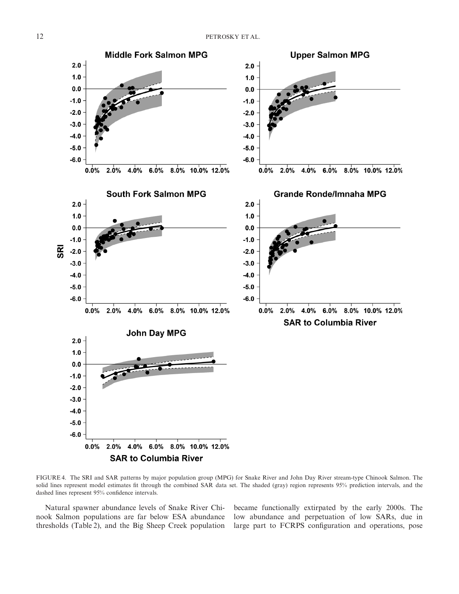

FIGURE 4. The SRI and SAR patterns by major population group (MPG) for Snake River and John Day River stream-type Chinook Salmon. The solid lines represent model estimates fit through the combined SAR data set. The shaded (gray) region represents 95% prediction intervals, and the dashed lines represent 95% confidence intervals.

Natural spawner abundance levels of Snake River Chinook Salmon populations are far below ESA abundance thresholds (Table 2), and the Big Sheep Creek population

became functionally extirpated by the early 2000s. The low abundance and perpetuation of low SARs, due in large part to FCRPS configuration and operations, pose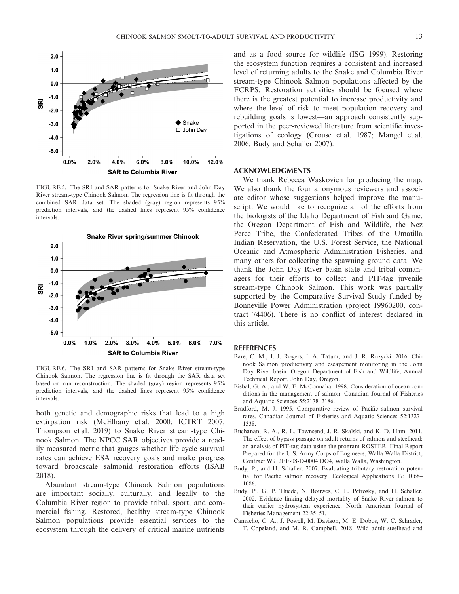

FIGURE 5. The SRI and SAR patterns for Snake River and John Day River stream-type Chinook Salmon. The regression line is fit through the combined SAR data set. The shaded (gray) region represents 95% prediction intervals, and the dashed lines represent 95% confidence intervals.



FIGURE 6. The SRI and SAR patterns for Snake River stream-type Chinook Salmon. The regression line is fit through the SAR data set based on run reconstruction. The shaded (gray) region represents 95% prediction intervals, and the dashed lines represent 95% confidence intervals.

both genetic and demographic risks that lead to a high extirpation risk (McElhany et al. 2000; ICTRT 2007; Thompson et al. 2019) to Snake River stream-type Chinook Salmon. The NPCC SAR objectives provide a readily measured metric that gauges whether life cycle survival rates can achieve ESA recovery goals and make progress toward broadscale salmonid restoration efforts (ISAB 2018).

Abundant stream-type Chinook Salmon populations are important socially, culturally, and legally to the Columbia River region to provide tribal, sport, and commercial fishing. Restored, healthy stream-type Chinook Salmon populations provide essential services to the ecosystem through the delivery of critical marine nutrients and as a food source for wildlife (ISG 1999). Restoring the ecosystem function requires a consistent and increased level of returning adults to the Snake and Columbia River stream-type Chinook Salmon populations affected by the FCRPS. Restoration activities should be focused where there is the greatest potential to increase productivity and where the level of risk to meet population recovery and rebuilding goals is lowest—an approach consistently supported in the peer-reviewed literature from scientific investigations of ecology (Crouse et al. 1987; Mangel et al. 2006; Budy and Schaller 2007).

#### **ACKNOWLEDGMENTS**

We thank Rebecca Waskovich for producing the map. We also thank the four anonymous reviewers and associate editor whose suggestions helped improve the manuscript. We would like to recognize all of the efforts from the biologists of the Idaho Department of Fish and Game, the Oregon Department of Fish and Wildlife, the Nez Perce Tribe, the Confederated Tribes of the Umatilla Indian Reservation, the U.S. Forest Service, the National Oceanic and Atmospheric Administration Fisheries, and many others for collecting the spawning ground data. We thank the John Day River basin state and tribal comanagers for their efforts to collect and PIT-tag juvenile stream-type Chinook Salmon. This work was partially supported by the Comparative Survival Study funded by Bonneville Power Administration (project 19960200, contract 74406). There is no conflict of interest declared in this article.

#### **REFERENCES**

- Bare, C. M., J. J. Rogers, I. A. Tatum, and J. R. Ruzycki. 2016. Chinook Salmon productivity and escapement monitoring in the John Day River basin. Oregon Department of Fish and Wildlife, Annual Technical Report, John Day, Oregon.
- Bisbal, G. A., and W. E. McConnaha. 1998. Consideration of ocean conditions in the management of salmon. Canadian Journal of Fisheries and Aquatic Sciences 55:2178–2186.
- Bradford, M. J. 1995. Comparative review of Pacific salmon survival rates. Canadian Journal of Fisheries and Aquatic Sciences 52:1327– 1338.
- Buchanan, R. A., R. L. Townsend, J. R. Skalski, and K. D. Ham. 2011. The effect of bypass passage on adult returns of salmon and steelhead: an analysis of PIT-tag data using the program ROSTER. Final Report Prepared for the U.S. Army Corps of Engineers, Walla Walla District, Contract W912EF-08-D-0004 DO4, Walla Walla, Washington.
- Budy, P., and H. Schaller. 2007. Evaluating tributary restoration potential for Pacific salmon recovery. Ecological Applications 17: 1068– 1086.
- Budy, P., G. P. Thiede, N. Bouwes, C. E. Petrosky, and H. Schaller. 2002. Evidence linking delayed mortality of Snake River salmon to their earlier hydrosystem experience. North American Journal of Fisheries Management 22:35–51.
- Camacho, C. A., J. Powell, M. Davison, M. E. Dobos, W. C. Schrader, T. Copeland, and M. R. Campbell. 2018. Wild adult steelhead and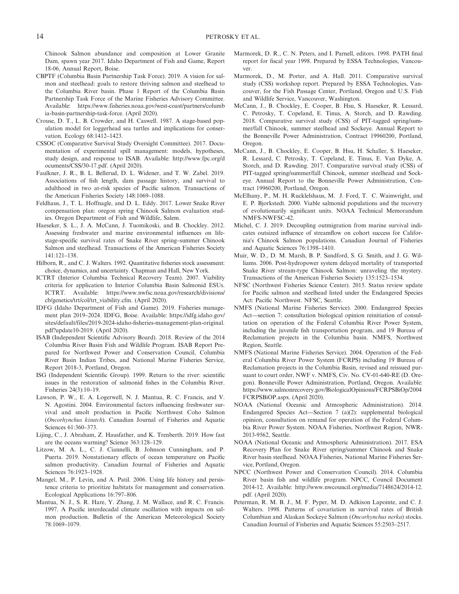Chinook Salmon abundance and composition at Lower Granite Dam, spawn year 2017. Idaho Department of Fish and Game, Report 18-06, Annual Report, Boise.

- CBPTF (Columbia Basin Partnership Task Force). 2019. A vision for salmon and steelhead: goals to restore thriving salmon and steelhead to the Columbia River basin. Phase 1 Report of the Columbia Basin Partnership Task Force of the Marine Fisheries Advisory Committee. Available: [https://www.fisheries.noaa.gov/west-coast/partners/columb](https://www.fisheries.noaa.gov/west-coast/partners/columbia-basin-partnership-task-force) [ia-basin-partnership-task-force.](https://www.fisheries.noaa.gov/west-coast/partners/columbia-basin-partnership-task-force) (April 2020).
- Crouse, D. T., L. B. Crowder, and H. Caswell. 1987. A stage-based population model for loggerhead sea turtles and implications for conservation. Ecology 68:1412–1423.
- CSSOC (Comparative Survival Study Oversight Committee). 2017. Documentation of experimental spill management: models, hypotheses, study design, and response to ISAB. Available: [http://www.fpc.org/d](http://www.fpc.org/documents/CSS/30-17.pdf) [ocuments/CSS/30-17.pdf](http://www.fpc.org/documents/CSS/30-17.pdf). (April 2020).
- Faulkner, J. R., B. L. Bellerud, D. L. Widener, and T. W. Zabel. 2019. Associations of fish length, dam passage history, and survival to adulthood in two at-risk species of Pacific salmon. Transactions of the American Fisheries Society 148:1069–1088.
- Feldhaus, J., T. L. Hoffnagle, and D. L. Eddy. 2017. Lower Snake River compensation plan: oregon spring Chinook Salmon evaluation studies. Oregon Department of Fish and Wildlife, Salem.
- Haeseker, S. L., J. A. McCann, J. Tuomikoski, and B. Chockley. 2012. Assessing freshwater and marine environmental influences on lifestage-specific survival rates of Snake River spring–summer Chinook Salmon and steelhead. Transactions of the American Fisheries Society 141:121–138.
- Hilborn, R., and C. J. Walters. 1992. Quantitative fisheries stock assessment: choice, dynamics, and uncertainty. Chapman and Hall, New York.
- ICTRT (Interior Columbia Technical Recovery Team). 2007. Viability criteria for application to Interior Columbia Basin Salmonid ESUs. ICTRT. Available: [https://www.nwfsc.noaa.gov/research/divisions/](https://www.nwfsc.noaa.gov/research/divisions/cb/genetics/trt/col/trt_viability.cfm) [cb/genetics/trt/col/trt\\_viability.cfm](https://www.nwfsc.noaa.gov/research/divisions/cb/genetics/trt/col/trt_viability.cfm). (April 2020).
- IDFG (Idaho Department of Fish and Game). 2019. Fisheries management plan 2019–2024. IDFG, Boise. Available: [https://idfg.idaho.gov/](https://idfg.idaho.gov/sites/default/files/2019-2024-idaho-fisheries-management-plan-original.pdf?update10-2019) sites/default/files/2019-2024-idaho-fi[sheries-management-plan-original.](https://idfg.idaho.gov/sites/default/files/2019-2024-idaho-fisheries-management-plan-original.pdf?update10-2019) [pdf?update10-2019](https://idfg.idaho.gov/sites/default/files/2019-2024-idaho-fisheries-management-plan-original.pdf?update10-2019). (April 2020).
- ISAB (Independent Scientific Advisory Board). 2018. Review of the 2014 Columbia River Basin Fish and Wildlife Program. ISAB Report Prepared for Northwest Power and Conservation Council, Columbia River Basin Indian Tribes, and National Marine Fisheries Service, Report 2018-3, Portland, Oregon.
- ISG (Independent Scientific Group). 1999. Return to the river: scientific issues in the restoration of salmonid fishes in the Columbia River. Fisheries 24(3):10–19.
- Lawson, P. W., E. A. Logerwell, N. J. Mantua, R. C. Francis, and V. N. Agostini. 2004. Environmental factors influencing freshwater survival and smolt production in Pacific Northwest Coho Salmon (*Oncorhynchus kisutch*). Canadian Journal of Fisheries and Aquatic Sciences 61:360–373.
- Lijing, C., J. Abraham, Z. Hausfather, and K. Trenberth. 2019. How fast are the oceans warming? Science 363:128–129.
- Litzow, M. A. L., C. J. Ciannelli, B. Johnson Cunningham, and P. Puerta. 2019. Nonstationary effects of ocean temperature on Pacific salmon productivity. Canadian Journal of Fisheries and Aquatic Sciences 76:1923–1928.
- Mangel, M., P. Levin, and A. Patil. 2006. Using life history and persistence criteria to prioritize habitats for management and conservation. Ecological Applications 16:797–806.
- Mantua, N. J., S. R. Hare, Y. Zhang, J. M. Wallace, and R. C. Francis. 1997. A Pacific interdecadal climate oscillation with impacts on salmon production. Bulletin of the American Meteorological Society 78:1069–1079.
- Marmorek, D. R., C. N. Peters, and I. Parnell, editors. 1998. PATH final report for fiscal year 1998. Prepared by ESSA Technologies, Vancouver.
- Marmorek, D., M. Porter, and A. Hall. 2011. Comparative survival study (CSS) workshop report. Prepared by ESSA Technologies, Vancouver, for the Fish Passage Center, Portland, Oregon and U.S. Fish and Wildlife Service, Vancouver, Washington.
- McCann, J., B. Chockley, E. Cooper, B. Hsu, S. Haeseker, R. Lessard, C. Petrosky, T. Copeland, E. Tinus, A. Storch, and D. Rawding. 2018. Comparative survival study (CSS) of PIT-tagged spring/summer/fall Chinook, summer steelhead and Sockeye. Annual Report to the Bonneville Power Administration, Contract 19960200, Portland, Oregon.
- McCann, J., B. Chockley, E. Cooper, B. Hsu, H. Schaller, S. Haeseker, R. Lessard, C. Petrosky, T. Copeland, E. Tinus, E. Van Dyke, A. Storch, and D. Rawding. 2017. Comparative survival study (CSS) of PIT-tagged spring/summer/fall Chinook, summer steelhead and Sockeye. Annual Report to the Bonneville Power Administration, Contract 19960200, Portland, Oregon.
- McElhany, P., M. H. Rucklelshaus, M. J. Ford, T. C. Wainwright, and E. P. Bjorkstedt. 2000. Viable salmonid populations and the recovery of evolutionarily significant units. NOAA Technical Memorandum NMFS-NWFSC-42.
- Michel, C. J. 2019. Decoupling outmigration from marine survival indicates outsized influence of streamflow on cohort success for California's Chinook Salmon populations. Canadian Journal of Fisheries and Aquatic Sciences 76:1398–1410.
- Muir, W. D., D. M. Marsh, B. P. Sandford, S. G. Smith, and J. G. Williams. 2006. Post-hydropower system delayed mortality of transported Snake River stream-type Chinook Salmon: unraveling the mystery. Transactions of the American Fisheries Society 135:1523–1534.
- NFSC (Northwest Fisheries Science Center). 2015. Status review update for Pacific salmon and steelhead listed under the Endangered Species Act: Pacific Northwest. NFSC, Seattle.
- NMFS (National Marine Fisheries Service). 2000. Endangered Species Act—section 7: consultation biological opinion reinitiation of consultation on operation of the Federal Columbia River Power System, including the juvenile fish transportation program, and 19 Bureau of Reclamation projects in the Columbia basin. NMFS, Northwest Region, Seattle.
- NMFS (National Marine Fisheries Service). 2004. Operation of the Federal Columbia River Power System (FCRPS) including 19 Bureau of Reclamation projects in the Columbia Basin, revised and reissued pursuant to court order, NWF v. NMFS, Civ. No. CV-01-640-RE (D. Oregon). Bonneville Power Administration, Portland, Oregon. Available: [https://www.salmonrecovery.gov/BiologicalOpinions/FCRPSBiOp/2004](https://www.salmonrecovery.gov/BiologicalOpinions/FCRPSBiOp/2004FCRPSBiOP.aspx) [FCRPSBiOP.aspx.](https://www.salmonrecovery.gov/BiologicalOpinions/FCRPSBiOp/2004FCRPSBiOP.aspx) (April 2020).
- NOAA (National Oceanic and Atmospheric Administration). 2014. Endangered Species Act—Section 7 (a)(2): supplemental biological opinion, consultation on remand for operation of the Federal Columbia River Power System. NOAA Fisheries, Northwest Region, NWR-2013-9562, Seattle.
- NOAA (National Oceanic and Atmospheric Administration). 2017. ESA Recovery Plan for Snake River spring/summer Chinook and Snake River basin steelhead. NOAA Fisheries, National Marine Fisheries Service, Portland, Oregon.
- NPCC (Northwest Power and Conservation Council). 2014. Columbia River basin fish and wildlife program. NPCC, Council Document 2014-12. Available: [http://www.nwcouncil.org/media/7148624/2014-12.](http://www.nwcouncil.org/media/7148624/2014-12.pdf) [pdf](http://www.nwcouncil.org/media/7148624/2014-12.pdf). (April 2020).
- Peterman, R. M. B. J., M. F. Pyper, M. D. Adkison Lapointe, and C. J. Walters. 1998. Patterns of covariation in survival rates of British Columbian and Alaskan Sockeye Salmon (*Oncorhynchus nerka*) stocks. Canadian Journal of Fisheries and Aquatic Sciences 55:2503–2517.